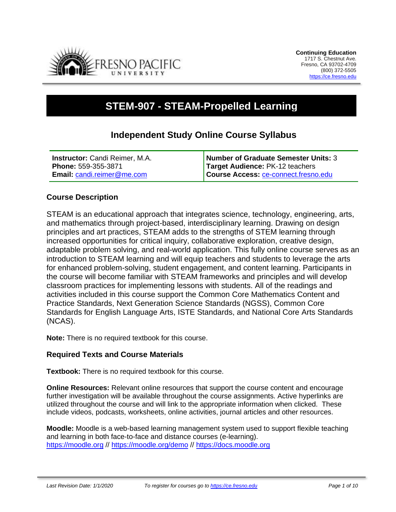

# **STEM-907 - STEAM-Propelled Learning**

# **Independent Study Online Course Syllabus**

| <b>Instructor:</b> Candi Reimer, M.A. | Number of Graduate Semester Units: 3 |
|---------------------------------------|--------------------------------------|
| <b>Phone: 559-355-3871</b>            | Target Audience: PK-12 teachers      |
| <b>Email: candi.reimer@me.com</b>     | Course Access: ce-connect.fresno.edu |

# **Course Description**

STEAM is an educational approach that integrates science, technology, engineering, arts, and mathematics through project-based, interdisciplinary learning. Drawing on design principles and art practices, STEAM adds to the strengths of STEM learning through increased opportunities for critical inquiry, collaborative exploration, creative design, adaptable problem solving, and real-world application. This fully online course serves as an introduction to STEAM learning and will equip teachers and students to leverage the arts for enhanced problem-solving, student engagement, and content learning. Participants in the course will become familiar with STEAM frameworks and principles and will develop classroom practices for implementing lessons with students. All of the readings and activities included in this course support the Common Core Mathematics Content and Practice Standards, Next Generation Science Standards (NGSS), Common Core Standards for English Language Arts, ISTE Standards, and National Core Arts Standards (NCAS).

**Note:** There is no required textbook for this course.

# **Required Texts and Course Materials**

**Textbook:** There is no required textbook for this course.

**Online Resources:** Relevant online resources that support the course content and encourage further investigation will be available throughout the course assignments. Active hyperlinks are utilized throughout the course and will link to the appropriate information when clicked. These include videos, podcasts, worksheets, online activities, journal articles and other resources.

**Moodle:** Moodle is a web-based learning management system used to support flexible teaching and learning in both face-to-face and distance courses (e-learning). [https://moodle.org](https://moodle.org/) // <https://moodle.org/demo> // [https://docs.moodle.org](https://docs.moodle.org/)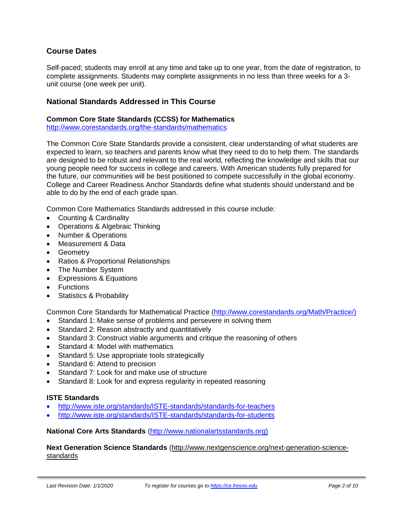# **Course Dates**

Self-paced; students may enroll at any time and take up to one year, from the date of registration, to complete assignments. Students may complete assignments in no less than three weeks for a 3 unit course (one week per unit).

# **National Standards Addressed in This Course**

#### **Common Core State Standards (CCSS) for Mathematics**

<http://www.corestandards.org/the-standards/mathematics>

The Common Core State Standards provide a consistent, clear understanding of what students are expected to learn, so teachers and parents know what they need to do to help them. The standards are designed to be robust and relevant to the real world, reflecting the knowledge and skills that our young people need for success in college and careers. With American students fully prepared for the future, our communities will be best positioned to compete successfully in the global economy. College and Career Readiness Anchor Standards define what students should understand and be able to do by the end of each grade span.

Common Core Mathematics Standards addressed in this course include:

- Counting & Cardinality
- Operations & Algebraic Thinking
- Number & Operations
- Measurement & Data
- Geometry
- Ratios & Proportional Relationships
- The Number System
- Expressions & Equations
- Functions
- Statistics & Probability

Common Core Standards for Mathematical Practice [\(http://www.corestandards.org/Math/Practice/\)](http://www.corestandards.org/Math/Practice/)

- Standard 1: Make sense of problems and persevere in solving them
- Standard 2: Reason abstractly and quantitatively
- Standard 3: Construct viable arguments and critique the reasoning of others
- Standard 4: Model with mathematics
- Standard 5: Use appropriate tools strategically
- Standard 6: Attend to precision
- Standard 7: Look for and make use of structure
- Standard 8: Look for and express regularity in repeated reasoning

#### **ISTE Standards**

- <http://www.iste.org/standards/ISTE-standards/standards-for-teachers>
- <http://www.iste.org/standards/ISTE-standards/standards-for-students>

#### **National Core Arts Standards** [\(http://www.nationalartsstandards.org\)](http://www.nationalartsstandards.org/)

#### **Next Generation Science Standards** [\(http://www.nextgenscience.org/next-generation-science](http://www.nextgenscience.org/next-generation-science-standards)[standards](http://www.nextgenscience.org/next-generation-science-standards)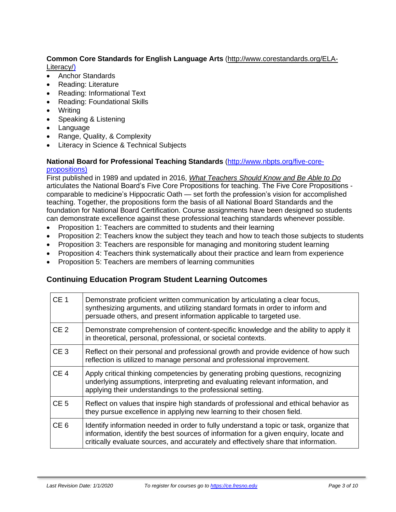### **Common Core Standards for English Language Arts** [\(http://www.corestandards.org/ELA-](http://www.corestandards.org/ELA-Literacy/)[Literacy/\)](http://www.corestandards.org/ELA-Literacy/)

- Anchor Standards
- Reading: Literature
- Reading: Informational Text
- Reading: Foundational Skills
- Writing
- Speaking & Listening
- Language
- Range, Quality, & Complexity
- Literacy in Science & Technical Subjects

#### **National Board for Professional Teaching Standards** [\(http://www.nbpts.org/five-core](http://www.nbpts.org/five-core-propositions)[propositions\)](http://www.nbpts.org/five-core-propositions)

First published in 1989 and updated in 2016, *What [Teachers](http://www.accomplishedteacher.org/) Should Know and Be Able to Do* articulates the National Board's Five Core Propositions for teaching. The Five Core Propositions comparable to medicine's Hippocratic Oath — set forth the profession's vision for accomplished teaching. Together, the propositions form the basis of all National Board Standards and the foundation for National Board Certification. Course assignments have been designed so students can demonstrate excellence against these professional teaching standards whenever possible.

- Proposition 1: Teachers are committed to students and their learning
- Proposition 2: Teachers know the subject they teach and how to teach those subjects to students
- Proposition 3: Teachers are responsible for managing and monitoring student learning
- Proposition 4: Teachers think systematically about their practice and learn from experience
- Proposition 5: Teachers are members of learning communities

# **Continuing Education Program Student Learning Outcomes**

| CE <sub>1</sub> | Demonstrate proficient written communication by articulating a clear focus,<br>synthesizing arguments, and utilizing standard formats in order to inform and<br>persuade others, and present information applicable to targeted use.                                    |
|-----------------|-------------------------------------------------------------------------------------------------------------------------------------------------------------------------------------------------------------------------------------------------------------------------|
| CE <sub>2</sub> | Demonstrate comprehension of content-specific knowledge and the ability to apply it<br>in theoretical, personal, professional, or societal contexts.                                                                                                                    |
| CE <sub>3</sub> | Reflect on their personal and professional growth and provide evidence of how such<br>reflection is utilized to manage personal and professional improvement.                                                                                                           |
| CE <sub>4</sub> | Apply critical thinking competencies by generating probing questions, recognizing<br>underlying assumptions, interpreting and evaluating relevant information, and<br>applying their understandings to the professional setting.                                        |
| CE <sub>5</sub> | Reflect on values that inspire high standards of professional and ethical behavior as<br>they pursue excellence in applying new learning to their chosen field.                                                                                                         |
| CE <sub>6</sub> | Identify information needed in order to fully understand a topic or task, organize that<br>information, identify the best sources of information for a given enguiry, locate and<br>critically evaluate sources, and accurately and effectively share that information. |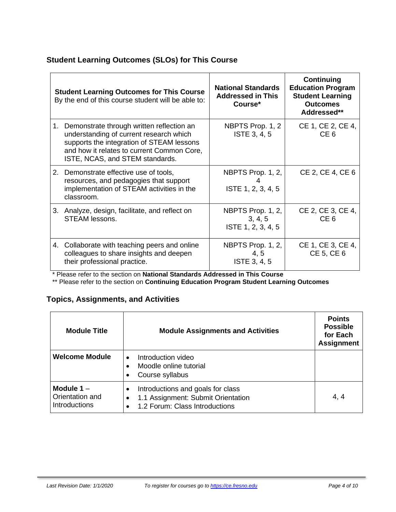# **Student Learning Outcomes (SLOs) for This Course**

| <b>Student Learning Outcomes for This Course</b><br>By the end of this course student will be able to: |                                                                                                                                                                                                                       | <b>National Standards</b><br><b>Addressed in This</b><br>Course* | <b>Continuing</b><br><b>Education Program</b><br><b>Student Learning</b><br><b>Outcomes</b><br>Addressed** |
|--------------------------------------------------------------------------------------------------------|-----------------------------------------------------------------------------------------------------------------------------------------------------------------------------------------------------------------------|------------------------------------------------------------------|------------------------------------------------------------------------------------------------------------|
|                                                                                                        | 1. Demonstrate through written reflection an<br>understanding of current research which<br>supports the integration of STEAM lessons<br>and how it relates to current Common Core,<br>ISTE, NCAS, and STEM standards. | NBPTS Prop. 1, 2<br>ISTE 3, 4, 5                                 | CE 1, CE 2, CE 4,<br>CE <sub>6</sub>                                                                       |
|                                                                                                        | 2. Demonstrate effective use of tools,<br>resources, and pedagogies that support<br>implementation of STEAM activities in the<br>classroom.                                                                           | NBPTS Prop. 1, 2,<br>ISTE 1, 2, 3, 4, 5                          | CE 2, CE 4, CE 6                                                                                           |
|                                                                                                        | 3. Analyze, design, facilitate, and reflect on<br>STEAM lessons.                                                                                                                                                      | NBPTS Prop. 1, 2,<br>3, 4, 5<br>ISTE 1, 2, 3, 4, 5               | CE 2, CE 3, CE 4,<br>CE <sub>6</sub>                                                                       |
|                                                                                                        | 4. Collaborate with teaching peers and online<br>colleagues to share insights and deepen<br>their professional practice.                                                                                              | NBPTS Prop. 1, 2,<br>4, 5<br><b>ISTE 3, 4, 5</b>                 | CE 1, CE 3, CE 4,<br>CE 5, CE 6                                                                            |

\* Please refer to the section on **National Standards Addressed in This Course**

\*\* Please refer to the section on **Continuing Education Program Student Learning Outcomes**

# **Topics, Assignments, and Activities**

| <b>Module Title</b>                                     | <b>Module Assignments and Activities</b>                                                                                            | <b>Points</b><br><b>Possible</b><br>for Each<br><b>Assignment</b> |
|---------------------------------------------------------|-------------------------------------------------------------------------------------------------------------------------------------|-------------------------------------------------------------------|
| <b>Welcome Module</b>                                   | Introduction video<br>$\bullet$<br>Moodle online tutorial<br>Course syllabus                                                        |                                                                   |
| Module $1 -$<br>Orientation and<br><b>Introductions</b> | Introductions and goals for class<br>1.1 Assignment: Submit Orientation<br>$\bullet$<br>1.2 Forum: Class Introductions<br>$\bullet$ | 4, 4                                                              |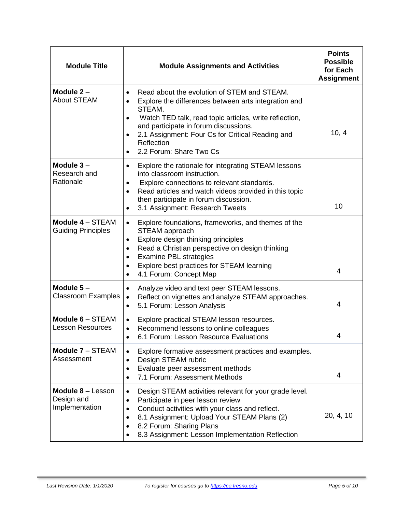| <b>Module Title</b>                                      | <b>Module Assignments and Activities</b>                                                                                                                                                                                                                                                                                        | <b>Points</b><br><b>Possible</b><br>for Each<br><b>Assignment</b> |
|----------------------------------------------------------|---------------------------------------------------------------------------------------------------------------------------------------------------------------------------------------------------------------------------------------------------------------------------------------------------------------------------------|-------------------------------------------------------------------|
| Module $2 -$<br><b>About STEAM</b>                       | Read about the evolution of STEM and STEAM.<br>Explore the differences between arts integration and<br>٠<br>STEAM.<br>Watch TED talk, read topic articles, write reflection,<br>$\bullet$<br>and participate in forum discussions.<br>2.1 Assignment: Four Cs for Critical Reading and<br>Reflection<br>2.2 Forum: Share Two Cs | 10, 4                                                             |
| Module $3-$<br>Research and<br>Rationale                 | Explore the rationale for integrating STEAM lessons<br>into classroom instruction.<br>Explore connections to relevant standards.<br>٠<br>Read articles and watch videos provided in this topic<br>$\bullet$<br>then participate in forum discussion.<br>3.1 Assignment: Research Tweets                                         | 10                                                                |
| Module 4 - STEAM<br><b>Guiding Principles</b>            | Explore foundations, frameworks, and themes of the<br>$\bullet$<br>STEAM approach<br>Explore design thinking principles<br>٠<br>Read a Christian perspective on design thinking<br>٠<br><b>Examine PBL strategies</b><br>$\bullet$<br>Explore best practices for STEAM learning<br>$\bullet$<br>4.1 Forum: Concept Map          | 4                                                                 |
| Module $5-$<br><b>Classroom Examples</b>                 | Analyze video and text peer STEAM lessons.<br>$\bullet$<br>Reflect on vignettes and analyze STEAM approaches.<br>$\bullet$<br>5.1 Forum: Lesson Analysis<br>$\bullet$                                                                                                                                                           | 4                                                                 |
| Module $6 -$ STEAM<br><b>Lesson Resources</b>            | Explore practical STEAM lesson resources.<br>$\bullet$<br>Recommend lessons to online colleagues<br>$\bullet$<br>6.1 Forum: Lesson Resource Evaluations                                                                                                                                                                         | 4                                                                 |
| Module 7 - STEAM<br>Assessment                           | Explore formative assessment practices and examples.<br>$\bullet$<br>Design STEAM rubric<br>٠<br>Evaluate peer assessment methods<br>٠<br>7.1 Forum: Assessment Methods<br>$\bullet$                                                                                                                                            | 4                                                                 |
| <b>Module 8 – Lesson</b><br>Design and<br>Implementation | Design STEAM activities relevant for your grade level.<br>$\bullet$<br>Participate in peer lesson review<br>٠<br>Conduct activities with your class and reflect.<br>$\bullet$<br>8.1 Assignment: Upload Your STEAM Plans (2)<br>$\bullet$<br>8.2 Forum: Sharing Plans<br>٠<br>8.3 Assignment: Lesson Implementation Reflection  | 20, 4, 10                                                         |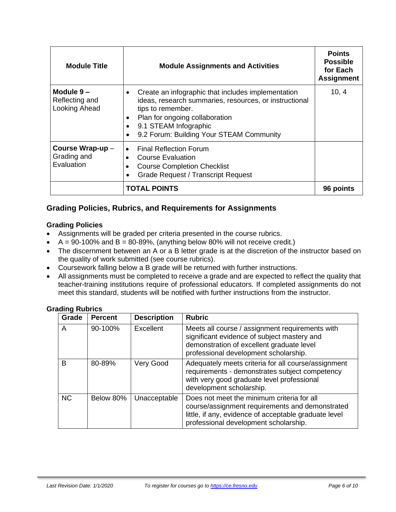| <b>Module Title</b>                                                                                                                                                                                                     | <b>Module Assignments and Activities</b>                                                                                                                                                                                                                   | <b>Points</b><br><b>Possible</b><br>for Each<br><b>Assignment</b> |
|-------------------------------------------------------------------------------------------------------------------------------------------------------------------------------------------------------------------------|------------------------------------------------------------------------------------------------------------------------------------------------------------------------------------------------------------------------------------------------------------|-------------------------------------------------------------------|
| Module 9-<br>Reflecting and<br>Looking Ahead                                                                                                                                                                            | Create an infographic that includes implementation<br>٠<br>ideas, research summaries, resources, or instructional<br>tips to remember.<br>Plan for ongoing collaboration<br>9.1 STEAM Infographic<br>9.2 Forum: Building Your STEAM Community<br>$\bullet$ | 10, 4                                                             |
| Course Wrap-up -<br><b>Final Reflection Forum</b><br>$\bullet$<br>Grading and<br><b>Course Evaluation</b><br>$\bullet$<br>Evaluation<br><b>Course Completion Checklist</b><br><b>Grade Request / Transcript Request</b> |                                                                                                                                                                                                                                                            |                                                                   |
|                                                                                                                                                                                                                         | <b>TOTAL POINTS</b>                                                                                                                                                                                                                                        |                                                                   |

# **Grading Policies, Rubrics, and Requirements for Assignments**

#### **Grading Policies**

- Assignments will be graded per criteria presented in the course rubrics.
- $A = 90-100\%$  and  $B = 80-89\%$ , (anything below 80% will not receive credit.)
- The discernment between an A or a B letter grade is at the discretion of the instructor based on the quality of work submitted (see course rubrics).
- Coursework falling below a B grade will be returned with further instructions.
- All assignments must be completed to receive a grade and are expected to reflect the quality that teacher-training institutions require of professional educators. If completed assignments do not meet this standard, students will be notified with further instructions from the instructor.

#### **Grading Rubrics**

| Grade     | <b>Percent</b> | <b>Description</b> | <b>Rubric</b>                                                                                                                                                                                   |
|-----------|----------------|--------------------|-------------------------------------------------------------------------------------------------------------------------------------------------------------------------------------------------|
| A         | 90-100%        | Excellent          | Meets all course / assignment requirements with<br>significant evidence of subject mastery and<br>demonstration of excellent graduate level<br>professional development scholarship.            |
| B         | 80-89%         | Very Good          | Adequately meets criteria for all course/assignment<br>requirements - demonstrates subject competency<br>with very good graduate level professional<br>development scholarship.                 |
| <b>NC</b> | Below 80%      | Unacceptable       | Does not meet the minimum criteria for all<br>course/assignment requirements and demonstrated<br>little, if any, evidence of acceptable graduate level<br>professional development scholarship. |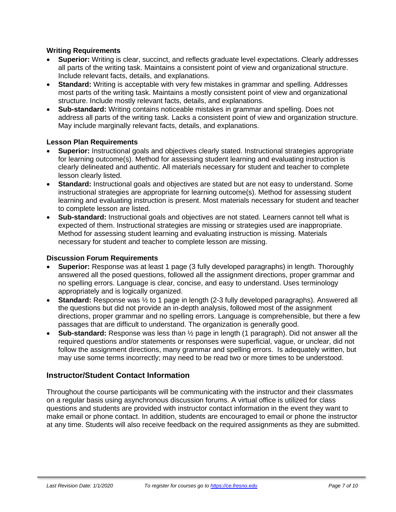#### **Writing Requirements**

- **Superior:** Writing is clear, succinct, and reflects graduate level expectations. Clearly addresses all parts of the writing task. Maintains a consistent point of view and organizational structure. Include relevant facts, details, and explanations.
- **Standard:** Writing is acceptable with very few mistakes in grammar and spelling. Addresses most parts of the writing task. Maintains a mostly consistent point of view and organizational structure. Include mostly relevant facts, details, and explanations.
- **Sub-standard:** Writing contains noticeable mistakes in grammar and spelling. Does not address all parts of the writing task. Lacks a consistent point of view and organization structure. May include marginally relevant facts, details, and explanations.

#### **Lesson Plan Requirements**

- **Superior:** Instructional goals and objectives clearly stated. Instructional strategies appropriate for learning outcome(s). Method for assessing student learning and evaluating instruction is clearly delineated and authentic. All materials necessary for student and teacher to complete lesson clearly listed.
- **Standard:** Instructional goals and objectives are stated but are not easy to understand. Some instructional strategies are appropriate for learning outcome(s). Method for assessing student learning and evaluating instruction is present. Most materials necessary for student and teacher to complete lesson are listed.
- **Sub-standard:** Instructional goals and objectives are not stated. Learners cannot tell what is expected of them. Instructional strategies are missing or strategies used are inappropriate. Method for assessing student learning and evaluating instruction is missing. Materials necessary for student and teacher to complete lesson are missing.

#### **Discussion Forum Requirements**

- **Superior:** Response was at least 1 page (3 fully developed paragraphs) in length. Thoroughly answered all the posed questions, followed all the assignment directions, proper grammar and no spelling errors. Language is clear, concise, and easy to understand. Uses terminology appropriately and is logically organized.
- **Standard:** Response was  $\frac{1}{2}$  to 1 page in length (2-3 fully developed paragraphs). Answered all the questions but did not provide an in-depth analysis, followed most of the assignment directions, proper grammar and no spelling errors. Language is comprehensible, but there a few passages that are difficult to understand. The organization is generally good.
- **Sub-standard:** Response was less than ½ page in length (1 paragraph). Did not answer all the required questions and/or statements or responses were superficial, vague, or unclear, did not follow the assignment directions, many grammar and spelling errors. Is adequately written, but may use some terms incorrectly; may need to be read two or more times to be understood.

#### **Instructor/Student Contact Information**

Throughout the course participants will be communicating with the instructor and their classmates on a regular basis using asynchronous discussion forums. A virtual office is utilized for class questions and students are provided with instructor contact information in the event they want to make email or phone contact. In addition, students are encouraged to email or phone the instructor at any time. Students will also receive feedback on the required assignments as they are submitted.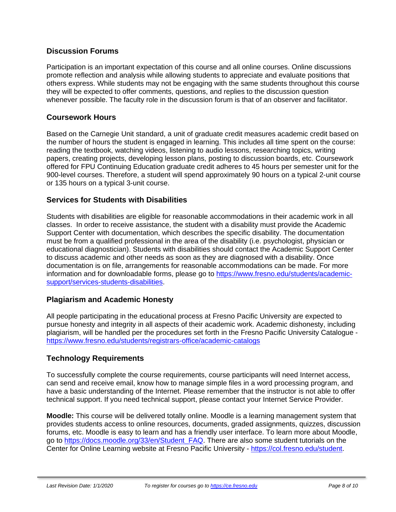# **Discussion Forums**

Participation is an important expectation of this course and all online courses. Online discussions promote reflection and analysis while allowing students to appreciate and evaluate positions that others express. While students may not be engaging with the same students throughout this course they will be expected to offer comments, questions, and replies to the discussion question whenever possible. The faculty role in the discussion forum is that of an observer and facilitator.

# **Coursework Hours**

Based on the Carnegie Unit standard, a unit of graduate credit measures academic credit based on the number of hours the student is engaged in learning. This includes all time spent on the course: reading the textbook, watching videos, listening to audio lessons, researching topics, writing papers, creating projects, developing lesson plans, posting to discussion boards, etc. Coursework offered for FPU Continuing Education graduate credit adheres to 45 hours per semester unit for the 900-level courses. Therefore, a student will spend approximately 90 hours on a typical 2-unit course or 135 hours on a typical 3-unit course.

# **Services for Students with Disabilities**

Students with disabilities are eligible for reasonable accommodations in their academic work in all classes. In order to receive assistance, the student with a disability must provide the Academic Support Center with documentation, which describes the specific disability. The documentation must be from a qualified professional in the area of the disability (i.e. psychologist, physician or educational diagnostician). Students with disabilities should contact the Academic Support Center to discuss academic and other needs as soon as they are diagnosed with a disability. Once documentation is on file, arrangements for reasonable accommodations can be made. For more information and for downloadable forms, please go to [https://www.fresno.edu/students/academic](https://www.fresno.edu/students/academic-support/services-students-disabilities)[support/services-students-disabilities.](https://www.fresno.edu/students/academic-support/services-students-disabilities)

#### **Plagiarism and Academic Honesty**

All people participating in the educational process at Fresno Pacific University are expected to pursue honesty and integrity in all aspects of their academic work. Academic dishonesty, including plagiarism, will be handled per the procedures set forth in the Fresno Pacific University Catalogue <https://www.fresno.edu/students/registrars-office/academic-catalogs>

# **Technology Requirements**

To successfully complete the course requirements, course participants will need Internet access, can send and receive email, know how to manage simple files in a word processing program, and have a basic understanding of the Internet. Please remember that the instructor is not able to offer technical support. If you need technical support, please contact your Internet Service Provider.

**Moodle:** This course will be delivered totally online. Moodle is a learning management system that provides students access to online resources, documents, graded assignments, quizzes, discussion forums, etc. Moodle is easy to learn and has a friendly user interface. To learn more about Moodle, go to [https://docs.moodle.org/33/en/Student\\_FAQ.](https://docs.moodle.org/33/en/Student_FAQ) There are also some student tutorials on the Center for Online Learning website at Fresno Pacific University - [https://col.fresno.edu/student.](https://col.fresno.edu/student)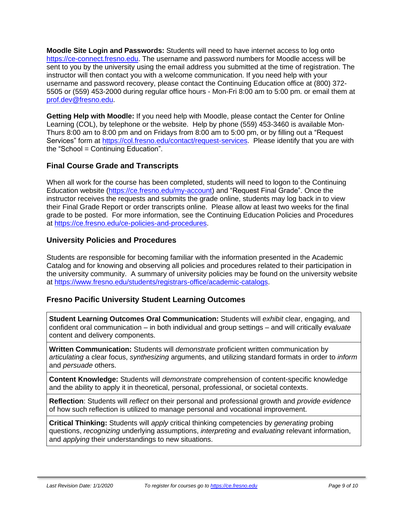**Moodle Site Login and Passwords:** Students will need to have internet access to log onto [https://ce-connect.fresno.edu.](https://ce-connect.fresno.edu/) The username and password numbers for Moodle access will be sent to you by the university using the email address you submitted at the time of registration. The instructor will then contact you with a welcome communication. If you need help with your username and password recovery, please contact the Continuing Education office at (800) 372- 5505 or (559) 453-2000 during regular office hours - Mon-Fri 8:00 am to 5:00 pm. or email them at [prof.dev@fresno.edu.](mailto:prof.dev@fresno.edu)

**Getting Help with Moodle:** If you need help with Moodle, please contact the Center for Online Learning (COL), by telephone or the website. Help by phone (559) 453-3460 is available Mon-Thurs 8:00 am to 8:00 pm and on Fridays from 8:00 am to 5:00 pm, or by filling out a "Request Services" form at [https://col.fresno.edu/contact/request-services.](https://col.fresno.edu/contact/request-services) Please identify that you are with the "School = Continuing Education".

# **Final Course Grade and Transcripts**

When all work for the course has been completed, students will need to logon to the Continuing Education website [\(https://ce.fresno.edu/my-account\)](https://ce.fresno.edu/my-account) and "Request Final Grade". Once the instructor receives the requests and submits the grade online, students may log back in to view their Final Grade Report or order transcripts online. Please allow at least two weeks for the final grade to be posted. For more information, see the Continuing Education Policies and Procedures at [https://ce.fresno.edu/ce-policies-and-procedures.](https://ce.fresno.edu/ce-policies-and-procedures)

# **University Policies and Procedures**

Students are responsible for becoming familiar with the information presented in the Academic Catalog and for knowing and observing all policies and procedures related to their participation in the university community. A summary of university policies may be found on the university website at [https://www.fresno.edu/students/registrars-office/academic-catalogs.](https://www.fresno.edu/students/registrars-office/academic-catalogs)

#### **Fresno Pacific University Student Learning Outcomes**

**Student Learning Outcomes Oral Communication:** Students will *exhibit* clear, engaging, and confident oral communication – in both individual and group settings – and will critically *evaluate* content and delivery components.

**Written Communication:** Students will *demonstrate* proficient written communication by *articulating* a clear focus, *synthesizing* arguments, and utilizing standard formats in order to *inform* and *persuade* others.

**Content Knowledge:** Students will *demonstrate* comprehension of content-specific knowledge and the ability to apply it in theoretical, personal, professional, or societal contexts.

**Reflection**: Students will *reflect* on their personal and professional growth and *provide evidence* of how such reflection is utilized to manage personal and vocational improvement.

**Critical Thinking:** Students will *apply* critical thinking competencies by *generating* probing questions, *recognizing* underlying assumptions, *interpreting* and *evaluating* relevant information, and *applying* their understandings to new situations.